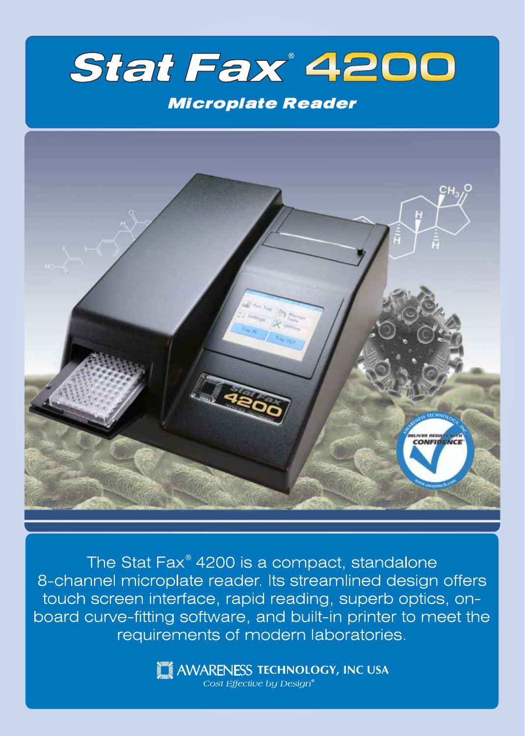

## **Microplate Reader**



The Stat Fax<sup>®</sup> 4200 is a compact, standalone 8-channel microplate reader. Its streamlined design offers touch screen interface, rapid reading, superb optics, onboard curve-fitting software, and built-in printer to meet the requirements of modern laboratories.

> **INCORPORATION AND ARRENESS TECHNOLOGY, INC USA** Cost Effective by Design®